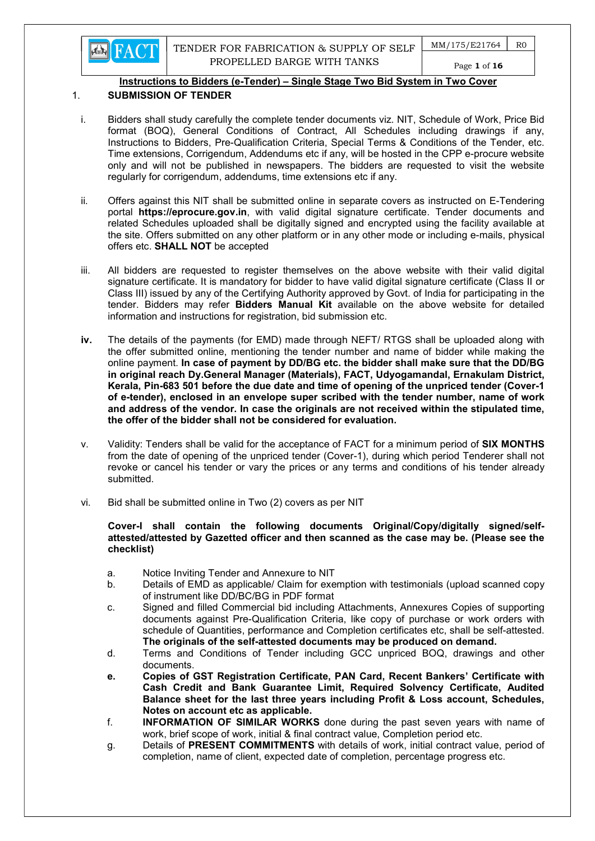

 $MM/175/E21764$  R0

# Page 1 of 16

## Instructions to Bidders (e-Tender) – Single Stage Two Bid System in Two Cover

## 1. SUBMISSION OF TENDER

- i. Bidders shall study carefully the complete tender documents viz. NIT, Schedule of Work, Price Bid format (BOQ), General Conditions of Contract, All Schedules including drawings if any, Instructions to Bidders, Pre-Qualification Criteria, Special Terms & Conditions of the Tender, etc. Time extensions, Corrigendum, Addendums etc if any, will be hosted in the CPP e-procure website only and will not be published in newspapers. The bidders are requested to visit the website regularly for corrigendum, addendums, time extensions etc if any.
- ii. Offers against this NIT shall be submitted online in separate covers as instructed on E-Tendering portal https://eprocure.gov.in, with valid digital signature certificate. Tender documents and related Schedules uploaded shall be digitally signed and encrypted using the facility available at the site. Offers submitted on any other platform or in any other mode or including e-mails, physical offers etc. SHALL NOT be accepted
- iii. All bidders are requested to register themselves on the above website with their valid digital signature certificate. It is mandatory for bidder to have valid digital signature certificate (Class II or Class III) issued by any of the Certifying Authority approved by Govt. of India for participating in the tender. Bidders may refer **Bidders Manual Kit** available on the above website for detailed information and instructions for registration, bid submission etc.
- iv. The details of the payments (for EMD) made through NEFT/ RTGS shall be uploaded along with the offer submitted online, mentioning the tender number and name of bidder while making the online payment. In case of payment by DD/BG etc. the bidder shall make sure that the DD/BG in original reach Dy.General Manager (Materials), FACT, Udyogamandal, Ernakulam District, Kerala, Pin-683 501 before the due date and time of opening of the unpriced tender (Cover-1 of e-tender), enclosed in an envelope super scribed with the tender number, name of work and address of the vendor. In case the originals are not received within the stipulated time, the offer of the bidder shall not be considered for evaluation.
- v. Validity: Tenders shall be valid for the acceptance of FACT for a minimum period of SIX MONTHS from the date of opening of the unpriced tender (Cover-1), during which period Tenderer shall not revoke or cancel his tender or vary the prices or any terms and conditions of his tender already submitted.
- vi. Bid shall be submitted online in Two (2) covers as per NIT

### Cover-I shall contain the following documents Original/Copy/digitally signed/selfattested/attested by Gazetted officer and then scanned as the case may be. (Please see the checklist)

- a. Notice Inviting Tender and Annexure to NIT
- b. Details of EMD as applicable/ Claim for exemption with testimonials (upload scanned copy of instrument like DD/BC/BG in PDF format
- c. Signed and filled Commercial bid including Attachments, Annexures Copies of supporting documents against Pre-Qualification Criteria, like copy of purchase or work orders with schedule of Quantities, performance and Completion certificates etc, shall be self-attested. The originals of the self-attested documents may be produced on demand.
- d. Terms and Conditions of Tender including GCC unpriced BOQ, drawings and other documents.
- e. Copies of GST Registration Certificate, PAN Card, Recent Bankers' Certificate with Cash Credit and Bank Guarantee Limit, Required Solvency Certificate, Audited Balance sheet for the last three years including Profit & Loss account, Schedules, Notes on account etc as applicable.
- f. INFORMATION OF SIMILAR WORKS done during the past seven years with name of work, brief scope of work, initial & final contract value, Completion period etc.
- g. Details of PRESENT COMMITMENTS with details of work, initial contract value, period of completion, name of client, expected date of completion, percentage progress etc.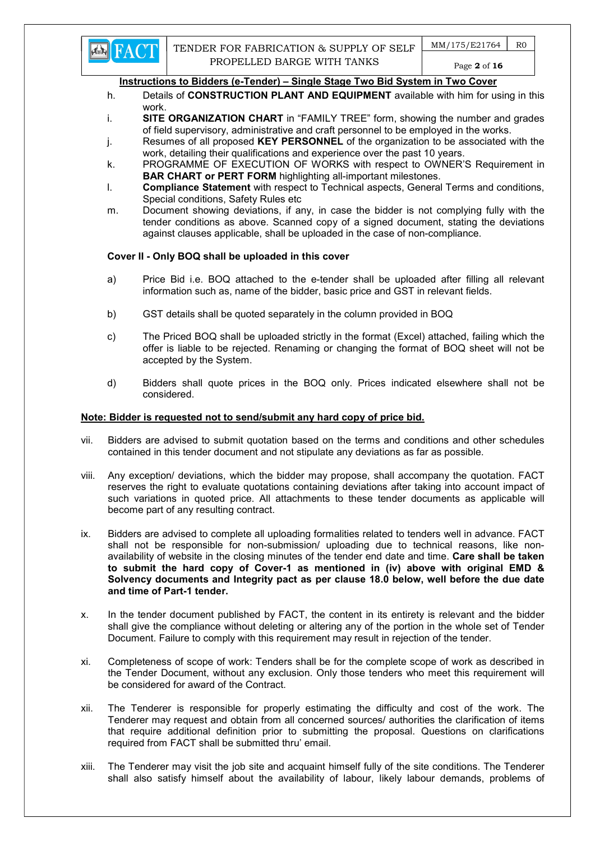

- h. Details of **CONSTRUCTION PLANT AND EQUIPMENT** available with him for using in this work.
- i. SITE ORGANIZATION CHART in "FAMILY TREE" form, showing the number and grades of field supervisory, administrative and craft personnel to be employed in the works.
- j. Resumes of all proposed KEY PERSONNEL of the organization to be associated with the work, detailing their qualifications and experience over the past 10 years.
- k. PROGRAMME OF EXECUTION OF WORKS with respect to OWNER'S Requirement in BAR CHART or PERT FORM highlighting all-important milestones.
- l. Compliance Statement with respect to Technical aspects, General Terms and conditions, Special conditions, Safety Rules etc
- m. Document showing deviations, if any, in case the bidder is not complying fully with the tender conditions as above. Scanned copy of a signed document, stating the deviations against clauses applicable, shall be uploaded in the case of non-compliance.

## Cover II - Only BOQ shall be uploaded in this cover

- a) Price Bid i.e. BOQ attached to the e-tender shall be uploaded after filling all relevant information such as, name of the bidder, basic price and GST in relevant fields.
- b) GST details shall be quoted separately in the column provided in BOQ
- c) The Priced BOQ shall be uploaded strictly in the format (Excel) attached, failing which the offer is liable to be rejected. Renaming or changing the format of BOQ sheet will not be accepted by the System.
- d) Bidders shall quote prices in the BOQ only. Prices indicated elsewhere shall not be considered.

## Note: Bidder is requested not to send/submit any hard copy of price bid.

- vii. Bidders are advised to submit quotation based on the terms and conditions and other schedules contained in this tender document and not stipulate any deviations as far as possible.
- viii. Any exception/ deviations, which the bidder may propose, shall accompany the quotation. FACT reserves the right to evaluate quotations containing deviations after taking into account impact of such variations in quoted price. All attachments to these tender documents as applicable will become part of any resulting contract.
- ix. Bidders are advised to complete all uploading formalities related to tenders well in advance. FACT shall not be responsible for non-submission/ uploading due to technical reasons, like nonavailability of website in the closing minutes of the tender end date and time. Care shall be taken to submit the hard copy of Cover-1 as mentioned in (iv) above with original EMD & Solvency documents and Integrity pact as per clause 18.0 below, well before the due date and time of Part-1 tender.
- x. In the tender document published by FACT, the content in its entirety is relevant and the bidder shall give the compliance without deleting or altering any of the portion in the whole set of Tender Document. Failure to comply with this requirement may result in rejection of the tender.
- xi. Completeness of scope of work: Tenders shall be for the complete scope of work as described in the Tender Document, without any exclusion. Only those tenders who meet this requirement will be considered for award of the Contract.
- xii. The Tenderer is responsible for properly estimating the difficulty and cost of the work. The Tenderer may request and obtain from all concerned sources/ authorities the clarification of items that require additional definition prior to submitting the proposal. Questions on clarifications required from FACT shall be submitted thru' email.
- xiii. The Tenderer may visit the job site and acquaint himself fully of the site conditions. The Tenderer shall also satisfy himself about the availability of labour, likely labour demands, problems of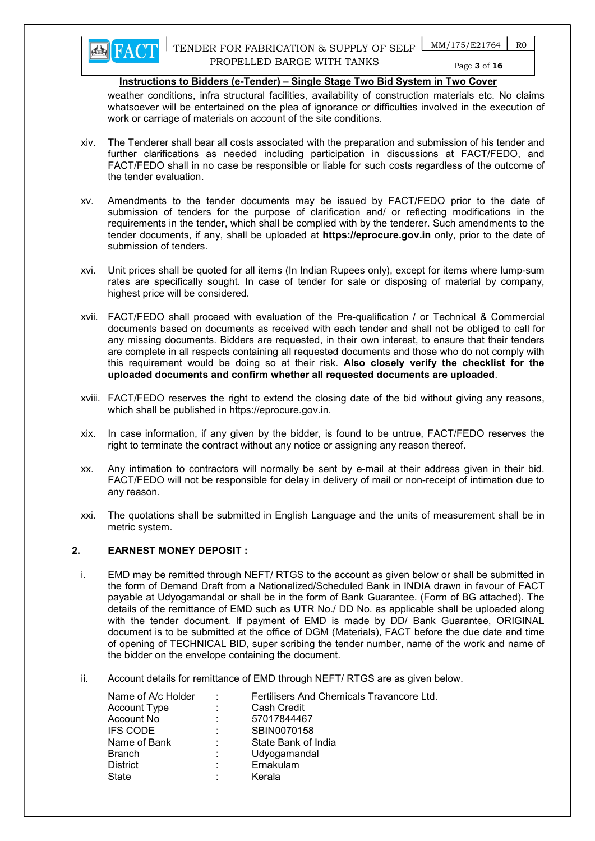

weather conditions, infra structural facilities, availability of construction materials etc. No claims whatsoever will be entertained on the plea of ignorance or difficulties involved in the execution of work or carriage of materials on account of the site conditions.

- xiv. The Tenderer shall bear all costs associated with the preparation and submission of his tender and further clarifications as needed including participation in discussions at FACT/FEDO, and FACT/FEDO shall in no case be responsible or liable for such costs regardless of the outcome of the tender evaluation.
- xv. Amendments to the tender documents may be issued by FACT/FEDO prior to the date of submission of tenders for the purpose of clarification and/ or reflecting modifications in the requirements in the tender, which shall be complied with by the tenderer. Such amendments to the tender documents, if any, shall be uploaded at https://eprocure.gov.in only, prior to the date of submission of tenders.
- xvi. Unit prices shall be quoted for all items (In Indian Rupees only), except for items where lump-sum rates are specifically sought. In case of tender for sale or disposing of material by company, highest price will be considered.
- xvii. FACT/FEDO shall proceed with evaluation of the Pre-qualification / or Technical & Commercial documents based on documents as received with each tender and shall not be obliged to call for any missing documents. Bidders are requested, in their own interest, to ensure that their tenders are complete in all respects containing all requested documents and those who do not comply with this requirement would be doing so at their risk. Also closely verify the checklist for the uploaded documents and confirm whether all requested documents are uploaded.
- xviii. FACT/FEDO reserves the right to extend the closing date of the bid without giving any reasons, which shall be published in https://eprocure.gov.in.
- xix. In case information, if any given by the bidder, is found to be untrue, FACT/FEDO reserves the right to terminate the contract without any notice or assigning any reason thereof.
- xx. Any intimation to contractors will normally be sent by e-mail at their address given in their bid. FACT/FEDO will not be responsible for delay in delivery of mail or non-receipt of intimation due to any reason.
- xxi. The quotations shall be submitted in English Language and the units of measurement shall be in metric system.

## 2. EARNEST MONEY DEPOSIT :

- i. EMD may be remitted through NEFT/ RTGS to the account as given below or shall be submitted in the form of Demand Draft from a Nationalized/Scheduled Bank in INDIA drawn in favour of FACT payable at Udyogamandal or shall be in the form of Bank Guarantee. (Form of BG attached). The details of the remittance of EMD such as UTR No./ DD No. as applicable shall be uploaded along with the tender document. If payment of EMD is made by DD/ Bank Guarantee, ORIGINAL document is to be submitted at the office of DGM (Materials), FACT before the due date and time of opening of TECHNICAL BID, super scribing the tender number, name of the work and name of the bidder on the envelope containing the document.
- ii. Account details for remittance of EMD through NEFT/ RTGS are as given below.

| Name of A/c Holder | ÷ | Fertilisers And Chemicals Travancore Ltd. |
|--------------------|---|-------------------------------------------|
| Account Type       | ÷ | Cash Credit                               |
| Account No         | ÷ | 57017844467                               |
| <b>IFS CODE</b>    | ÷ | SBIN0070158                               |
| Name of Bank       | ٠ | State Bank of India                       |
| <b>Branch</b>      | ÷ | Udyogamandal                              |
| <b>District</b>    | ÷ | Ernakulam                                 |
| State              |   | Kerala                                    |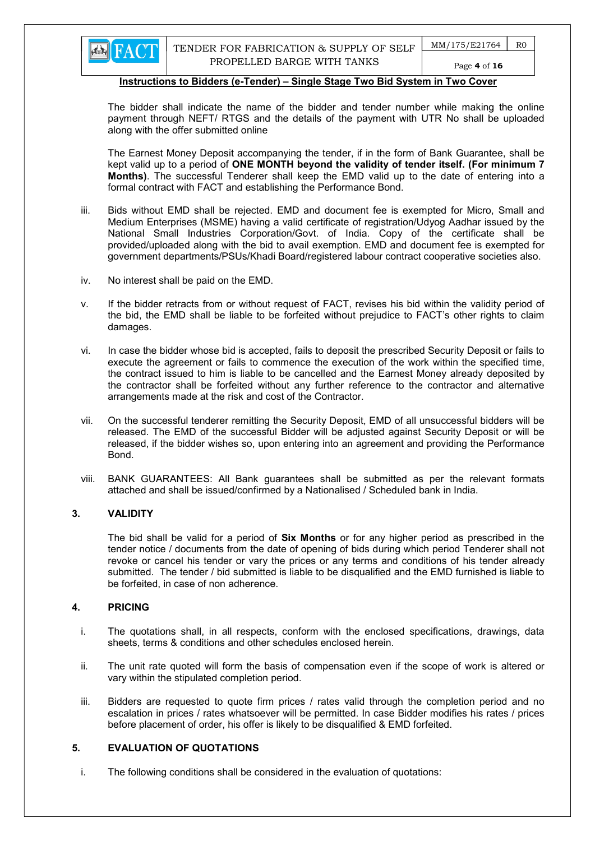

The bidder shall indicate the name of the bidder and tender number while making the online payment through NEFT/ RTGS and the details of the payment with UTR No shall be uploaded along with the offer submitted online

The Earnest Money Deposit accompanying the tender, if in the form of Bank Guarantee, shall be kept valid up to a period of ONE MONTH beyond the validity of tender itself. (For minimum 7 Months). The successful Tenderer shall keep the EMD valid up to the date of entering into a formal contract with FACT and establishing the Performance Bond.

- iii. Bids without EMD shall be rejected. EMD and document fee is exempted for Micro, Small and Medium Enterprises (MSME) having a valid certificate of registration/Udyog Aadhar issued by the National Small Industries Corporation/Govt. of India. Copy of the certificate shall be provided/uploaded along with the bid to avail exemption. EMD and document fee is exempted for government departments/PSUs/Khadi Board/registered labour contract cooperative societies also.
- iv. No interest shall be paid on the EMD.
- v. If the bidder retracts from or without request of FACT, revises his bid within the validity period of the bid, the EMD shall be liable to be forfeited without prejudice to FACT's other rights to claim damages.
- vi. In case the bidder whose bid is accepted, fails to deposit the prescribed Security Deposit or fails to execute the agreement or fails to commence the execution of the work within the specified time, the contract issued to him is liable to be cancelled and the Earnest Money already deposited by the contractor shall be forfeited without any further reference to the contractor and alternative arrangements made at the risk and cost of the Contractor.
- vii. On the successful tenderer remitting the Security Deposit, EMD of all unsuccessful bidders will be released. The EMD of the successful Bidder will be adjusted against Security Deposit or will be released, if the bidder wishes so, upon entering into an agreement and providing the Performance Bond.
- viii. BANK GUARANTEES: All Bank guarantees shall be submitted as per the relevant formats attached and shall be issued/confirmed by a Nationalised / Scheduled bank in India.

#### 3. VALIDITY

The bid shall be valid for a period of **Six Months** or for any higher period as prescribed in the tender notice / documents from the date of opening of bids during which period Tenderer shall not revoke or cancel his tender or vary the prices or any terms and conditions of his tender already submitted. The tender / bid submitted is liable to be disqualified and the EMD furnished is liable to be forfeited, in case of non adherence.

#### 4. PRICING

- i. The quotations shall, in all respects, conform with the enclosed specifications, drawings, data sheets, terms & conditions and other schedules enclosed herein.
- ii. The unit rate quoted will form the basis of compensation even if the scope of work is altered or vary within the stipulated completion period.
- iii. Bidders are requested to quote firm prices / rates valid through the completion period and no escalation in prices / rates whatsoever will be permitted. In case Bidder modifies his rates / prices before placement of order, his offer is likely to be disqualified & EMD forfeited.

## 5. EVALUATION OF QUOTATIONS

i. The following conditions shall be considered in the evaluation of quotations: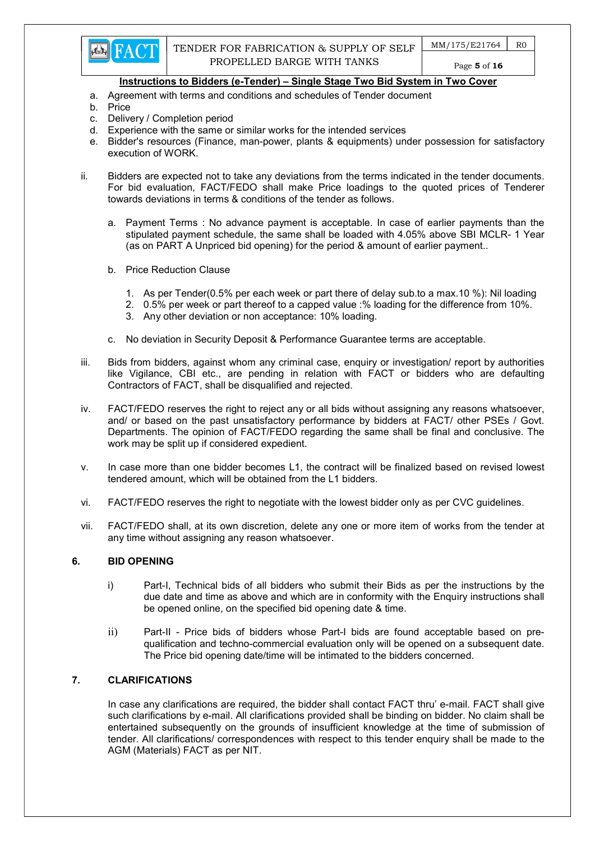- a. Agreement with terms and conditions and schedules of Tender document
- b. Price
- c. Delivery / Completion period
- d. Experience with the same or similar works for the intended services
- e. Bidder's resources (Finance, man-power, plants & equipments) under possession for satisfactory execution of WORK.
- ii. Bidders are expected not to take any deviations from the terms indicated in the tender documents. For bid evaluation, FACT/FEDO shall make Price loadings to the quoted prices of Tenderer towards deviations in terms & conditions of the tender as follows.
	- a. Payment Terms : No advance payment is acceptable. In case of earlier payments than the stipulated payment schedule, the same shall be loaded with 4.05% above SBI MCLR- 1 Year (as on PART A Unpriced bid opening) for the period & amount of earlier payment..
	- b. Price Reduction Clause
		- 1. As per Tender(0.5% per each week or part there of delay sub.to a max.10 %): Nil loading
		- 2. 0.5% per week or part thereof to a capped value :% loading for the difference from 10%.
		- 3. Any other deviation or non acceptance: 10% loading.
	- c. No deviation in Security Deposit & Performance Guarantee terms are acceptable.
- iii. Bids from bidders, against whom any criminal case, enquiry or investigation/ report by authorities like Vigilance, CBI etc., are pending in relation with FACT or bidders who are defaulting Contractors of FACT, shall be disqualified and rejected.
- iv. FACT/FEDO reserves the right to reject any or all bids without assigning any reasons whatsoever, and/ or based on the past unsatisfactory performance by bidders at FACT/ other PSEs / Govt. Departments. The opinion of FACT/FEDO regarding the same shall be final and conclusive. The work may be split up if considered expedient.
- v. In case more than one bidder becomes L1, the contract will be finalized based on revised lowest tendered amount, which will be obtained from the L1 bidders.
- vi. FACT/FEDO reserves the right to negotiate with the lowest bidder only as per CVC guidelines.
- vii. FACT/FEDO shall, at its own discretion, delete any one or more item of works from the tender at any time without assigning any reason whatsoever.

## 6. BID OPENING

- i) Part-I, Technical bids of all bidders who submit their Bids as per the instructions by the due date and time as above and which are in conformity with the Enquiry instructions shall be opened online, on the specified bid opening date & time.
- ii) Part-II Price bids of bidders whose Part-I bids are found acceptable based on prequalification and techno-commercial evaluation only will be opened on a subsequent date. The Price bid opening date/time will be intimated to the bidders concerned.

## 7. CLARIFICATIONS

In case any clarifications are required, the bidder shall contact FACT thru' e-mail. FACT shall give such clarifications by e-mail. All clarifications provided shall be binding on bidder. No claim shall be entertained subsequently on the grounds of insufficient knowledge at the time of submission of tender. All clarifications/ correspondences with respect to this tender enquiry shall be made to the AGM (Materials) FACT as per NIT.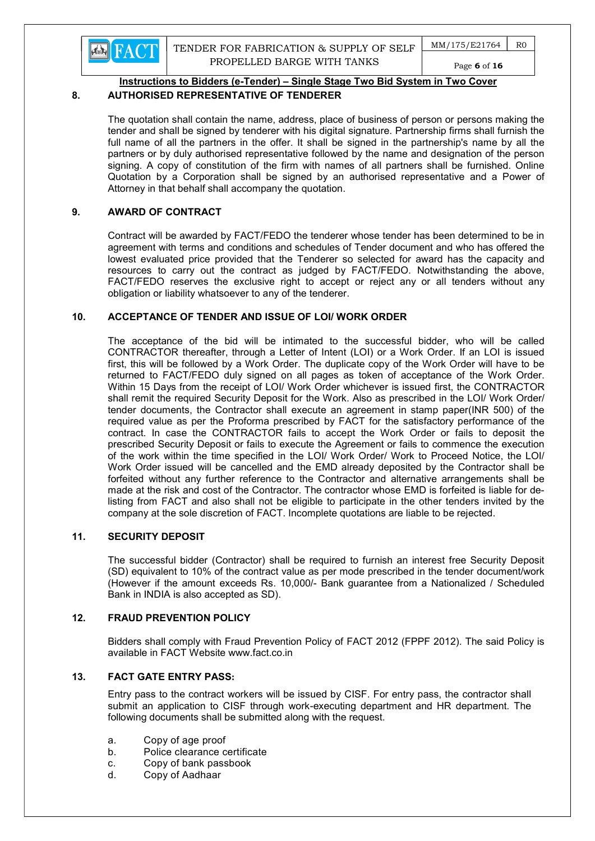

 $MM/175/E21764$  R0 Page 6 of 16

## Instructions to Bidders (e-Tender) – Single Stage Two Bid System in Two Cover

## 8. AUTHORISED REPRESENTATIVE OF TENDERER

The quotation shall contain the name, address, place of business of person or persons making the tender and shall be signed by tenderer with his digital signature. Partnership firms shall furnish the full name of all the partners in the offer. It shall be signed in the partnership's name by all the partners or by duly authorised representative followed by the name and designation of the person signing. A copy of constitution of the firm with names of all partners shall be furnished. Online Quotation by a Corporation shall be signed by an authorised representative and a Power of Attorney in that behalf shall accompany the quotation.

## 9. AWARD OF CONTRACT

Contract will be awarded by FACT/FEDO the tenderer whose tender has been determined to be in agreement with terms and conditions and schedules of Tender document and who has offered the lowest evaluated price provided that the Tenderer so selected for award has the capacity and resources to carry out the contract as judged by FACT/FEDO. Notwithstanding the above, FACT/FEDO reserves the exclusive right to accept or reject any or all tenders without any obligation or liability whatsoever to any of the tenderer.

## 10. ACCEPTANCE OF TENDER AND ISSUE OF LOI/ WORK ORDER

The acceptance of the bid will be intimated to the successful bidder, who will be called CONTRACTOR thereafter, through a Letter of Intent (LOI) or a Work Order. If an LOI is issued first, this will be followed by a Work Order. The duplicate copy of the Work Order will have to be returned to FACT/FEDO duly signed on all pages as token of acceptance of the Work Order. Within 15 Days from the receipt of LOI/ Work Order whichever is issued first, the CONTRACTOR shall remit the required Security Deposit for the Work. Also as prescribed in the LOI/ Work Order/ tender documents, the Contractor shall execute an agreement in stamp paper(INR 500) of the required value as per the Proforma prescribed by FACT for the satisfactory performance of the contract. In case the CONTRACTOR fails to accept the Work Order or fails to deposit the prescribed Security Deposit or fails to execute the Agreement or fails to commence the execution of the work within the time specified in the LOI/ Work Order/ Work to Proceed Notice, the LOI/ Work Order issued will be cancelled and the EMD already deposited by the Contractor shall be forfeited without any further reference to the Contractor and alternative arrangements shall be made at the risk and cost of the Contractor. The contractor whose EMD is forfeited is liable for delisting from FACT and also shall not be eligible to participate in the other tenders invited by the company at the sole discretion of FACT. Incomplete quotations are liable to be rejected.

## 11. SECURITY DEPOSIT

The successful bidder (Contractor) shall be required to furnish an interest free Security Deposit (SD) equivalent to 10% of the contract value as per mode prescribed in the tender document/work (However if the amount exceeds Rs. 10,000/- Bank guarantee from a Nationalized / Scheduled Bank in INDIA is also accepted as SD).

## 12. FRAUD PREVENTION POLICY

Bidders shall comply with Fraud Prevention Policy of FACT 2012 (FPPF 2012). The said Policy is available in FACT Website www.fact.co.in

## 13. FACT GATE ENTRY PASS:

Entry pass to the contract workers will be issued by CISF. For entry pass, the contractor shall submit an application to CISF through work-executing department and HR department. The following documents shall be submitted along with the request.

- a. Copy of age proof
- b. Police clearance certificate
- c. Copy of bank passbook
- d. Copy of Aadhaar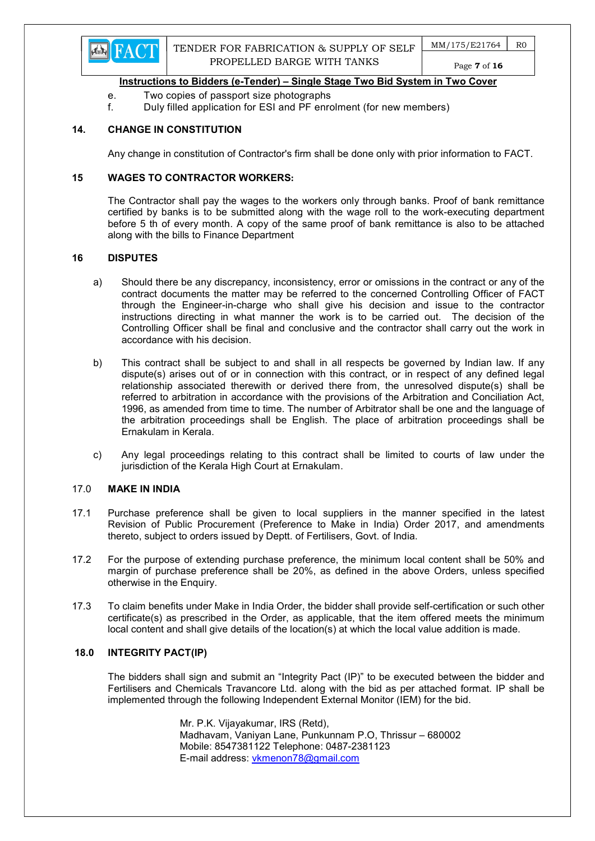

- e. Two copies of passport size photographs
- f. Duly filled application for ESI and PF enrolment (for new members)

## 14. CHANGE IN CONSTITUTION

Any change in constitution of Contractor's firm shall be done only with prior information to FACT.

### 15 WAGES TO CONTRACTOR WORKERS:

The Contractor shall pay the wages to the workers only through banks. Proof of bank remittance certified by banks is to be submitted along with the wage roll to the work-executing department before 5 th of every month. A copy of the same proof of bank remittance is also to be attached along with the bills to Finance Department

#### 16 DISPUTES

- a) Should there be any discrepancy, inconsistency, error or omissions in the contract or any of the contract documents the matter may be referred to the concerned Controlling Officer of FACT through the Engineer-in-charge who shall give his decision and issue to the contractor instructions directing in what manner the work is to be carried out. The decision of the Controlling Officer shall be final and conclusive and the contractor shall carry out the work in accordance with his decision.
- b) This contract shall be subject to and shall in all respects be governed by Indian law. If any dispute(s) arises out of or in connection with this contract, or in respect of any defined legal relationship associated therewith or derived there from, the unresolved dispute(s) shall be referred to arbitration in accordance with the provisions of the Arbitration and Conciliation Act, 1996, as amended from time to time. The number of Arbitrator shall be one and the language of the arbitration proceedings shall be English. The place of arbitration proceedings shall be Ernakulam in Kerala.
- c) Any legal proceedings relating to this contract shall be limited to courts of law under the jurisdiction of the Kerala High Court at Ernakulam.

#### 17.0 MAKE IN INDIA

- 17.1 Purchase preference shall be given to local suppliers in the manner specified in the latest Revision of Public Procurement (Preference to Make in India) Order 2017, and amendments thereto, subject to orders issued by Deptt. of Fertilisers, Govt. of India.
- 17.2 For the purpose of extending purchase preference, the minimum local content shall be 50% and margin of purchase preference shall be 20%, as defined in the above Orders, unless specified otherwise in the Enquiry.
- 17.3 To claim benefits under Make in India Order, the bidder shall provide self-certification or such other certificate(s) as prescribed in the Order, as applicable, that the item offered meets the minimum local content and shall give details of the location(s) at which the local value addition is made.

#### 18.0 INTEGRITY PACT(IP)

The bidders shall sign and submit an "Integrity Pact (IP)" to be executed between the bidder and Fertilisers and Chemicals Travancore Ltd. along with the bid as per attached format. IP shall be implemented through the following Independent External Monitor (IEM) for the bid.

> Mr. P.K. Vijayakumar, IRS (Retd), Madhavam, Vaniyan Lane, Punkunnam P.O, Thrissur – 680002 Mobile: 8547381122 Telephone: 0487-2381123 E-mail address: vkmenon78@gmail.com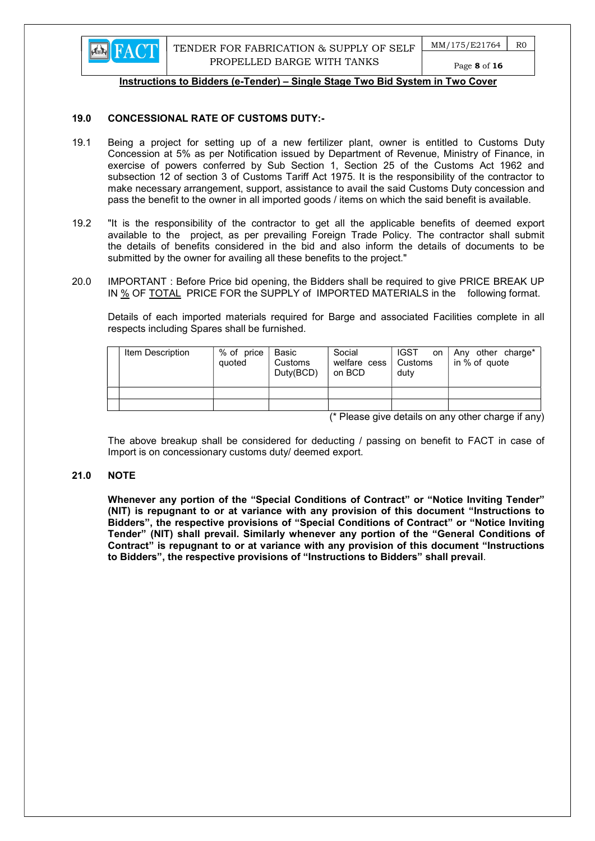

Page 8 of 16

### Instructions to Bidders (e-Tender) – Single Stage Two Bid System in Two Cover

### 19.0 CONCESSIONAL RATE OF CUSTOMS DUTY:-

- 19.1 Being a project for setting up of a new fertilizer plant, owner is entitled to Customs Duty Concession at 5% as per Notification issued by Department of Revenue, Ministry of Finance, in exercise of powers conferred by Sub Section 1, Section 25 of the Customs Act 1962 and subsection 12 of section 3 of Customs Tariff Act 1975. It is the responsibility of the contractor to make necessary arrangement, support, assistance to avail the said Customs Duty concession and pass the benefit to the owner in all imported goods / items on which the said benefit is available.
- 19.2 "It is the responsibility of the contractor to get all the applicable benefits of deemed export available to the project, as per prevailing Foreign Trade Policy. The contractor shall submit the details of benefits considered in the bid and also inform the details of documents to be submitted by the owner for availing all these benefits to the project."
- 20.0 IMPORTANT : Before Price bid opening, the Bidders shall be required to give PRICE BREAK UP IN % OF TOTAL PRICE FOR the SUPPLY of IMPORTED MATERIALS in the following format.

 Details of each imported materials required for Barge and associated Facilities complete in all respects including Spares shall be furnished.

| Item Description | % of price<br>quoted | Basic<br>Customs<br>Duty(BCD) | Social<br>welfare cess   Customs<br>on BCD | <b>IGST</b><br><b>on</b><br>duty | Any other charge*<br>in % of quote |
|------------------|----------------------|-------------------------------|--------------------------------------------|----------------------------------|------------------------------------|

(\* Please give details on any other charge if any)

 The above breakup shall be considered for deducting / passing on benefit to FACT in case of Import is on concessionary customs duty/ deemed export.

#### 21.0 NOTE

Whenever any portion of the "Special Conditions of Contract" or "Notice Inviting Tender" (NIT) is repugnant to or at variance with any provision of this document "Instructions to Bidders", the respective provisions of "Special Conditions of Contract" or "Notice Inviting Tender" (NIT) shall prevail. Similarly whenever any portion of the "General Conditions of Contract" is repugnant to or at variance with any provision of this document "Instructions to Bidders", the respective provisions of "Instructions to Bidders" shall prevail.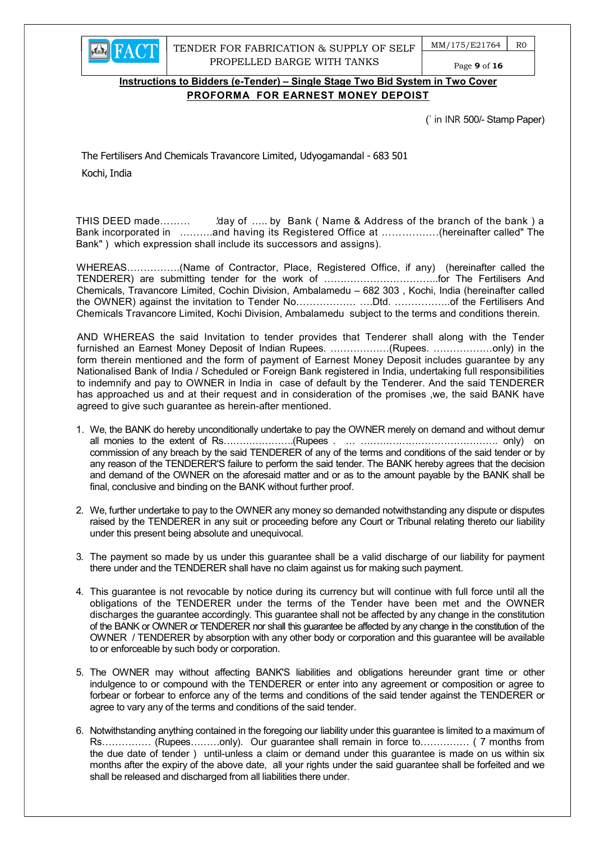

TENDER FOR FABRICATION & SUPPLY OF SELF PROPELLED BARGE WITH TANKS

 $MM/175/E21764$  R0

Page 9 of 16

## Instructions to Bidders (e-Tender) – Single Stage Two Bid System in Two Cover PROFORMA FOR EARNEST MONEY DEPOIST

(` in INR 500/- Stamp Paper)

The Fertilisers And Chemicals Travancore Limited, Udyogamandal - 683 501 Kochi, India

THIS DEED made……… 'day of ….. by Bank (Name & Address of the branch of the bank) a Bank incorporated in ……….and having its Registered Office at ………….….(hereinafter called" The Bank" ) which expression shall include its successors and assigns).

WHEREAS…………….(Name of Contractor, Place, Registered Office, if any) (hereinafter called the TENDERER) are submitting tender for the work of ……………………………..for The Fertilisers And Chemicals, Travancore Limited, Cochin Division, Ambalamedu – 682 303 , Kochi, India (hereinafter called the OWNER) against the invitation to Tender No……………… ….Dtd. ……………..of the Fertilisers And Chemicals Travancore Limited, Kochi Division, Ambalamedu subject to the terms and conditions therein.

AND WHEREAS the said Invitation to tender provides that Tenderer shall along with the Tender furnished an Earnest Money Deposit of Indian Rupees. ………………(Rupees. ………………only) in the form therein mentioned and the form of payment of Earnest Money Deposit includes guarantee by any Nationalised Bank of India / Scheduled or Foreign Bank registered in India, undertaking full responsibilities to indemnify and pay to OWNER in India in case of default by the Tenderer. And the said TENDERER has approached us and at their request and in consideration of the promises ,we, the said BANK have agreed to give such guarantee as herein-after mentioned.

- 1. We, the BANK do hereby unconditionally undertake to pay the OWNER merely on demand and without demur all monies to the extent of Rs………………….(Rupees . … ……………………………………. only) on commission of any breach by the said TENDERER of any of the terms and conditions of the said tender or by any reason of the TENDERER'S failure to perform the said tender. The BANK hereby agrees that the decision and demand of the OWNER on the aforesaid matter and or as to the amount payable by the BANK shall be final, conclusive and binding on the BANK without further proof.
- 2. We, further undertake to pay to the OWNER any money so demanded notwithstanding any dispute or disputes raised by the TENDERER in any suit or proceeding before any Court or Tribunal relating thereto our liability under this present being absolute and unequivocal.
- 3. The payment so made by us under this guarantee shall be a valid discharge of our liability for payment there under and the TENDERER shall have no claim against us for making such payment.
- 4. This guarantee is not revocable by notice during its currency but will continue with full force until all the obligations of the TENDERER under the terms of the Tender have been met and the OWNER discharges the guarantee accordingly. This guarantee shall not be affected by any change in the constitution of the BANK or OWNER or TENDERER nor shall this guarantee be affected by any change in the constitution of the OWNER / TENDERER by absorption with any other body or corporation and this guarantee will be available to or enforceable by such body or corporation.
- 5. The OWNER may without affecting BANK'S liabilities and obligations hereunder grant time or other indulgence to or compound with the TENDERER or enter into any agreement or composition or agree to forbear or forbear to enforce any of the terms and conditions of the said tender against the TENDERER or agree to vary any of the terms and conditions of the said tender.
- 6. Notwithstanding anything contained in the foregoing our liability under this guarantee is limited to a maximum of Rs…………… (Rupees………only). Our guarantee shall remain in force to…………… ( 7 months from the due date of tender ) until-unless a claim or demand under this guarantee is made on us within six months after the expiry of the above date, all your rights under the said guarantee shall be forfeited and we shall be released and discharged from all liabilities there under.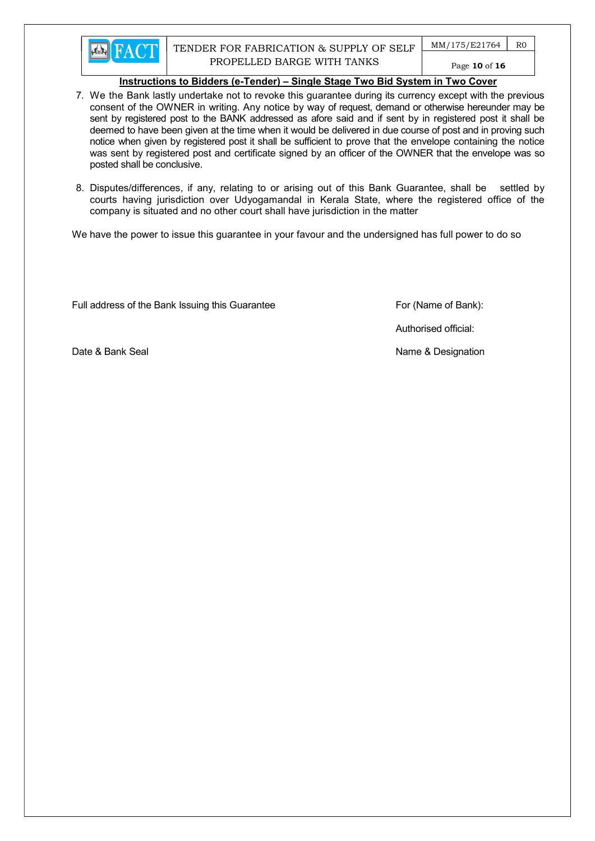

- 7. We the Bank lastly undertake not to revoke this guarantee during its currency except with the previous consent of the OWNER in writing. Any notice by way of request, demand or otherwise hereunder may be sent by registered post to the BANK addressed as afore said and if sent by in registered post it shall be deemed to have been given at the time when it would be delivered in due course of post and in proving such notice when given by registered post it shall be sufficient to prove that the envelope containing the notice was sent by registered post and certificate signed by an officer of the OWNER that the envelope was so posted shall be conclusive.
- 8. Disputes/differences, if any, relating to or arising out of this Bank Guarantee, shall be settled by courts having jurisdiction over Udyogamandal in Kerala State, where the registered office of the company is situated and no other court shall have jurisdiction in the matter

We have the power to issue this guarantee in your favour and the undersigned has full power to do so

Full address of the Bank Issuing this Guarantee For (Name of Bank):

Authorised official:

Date & Bank Seal Name & Designation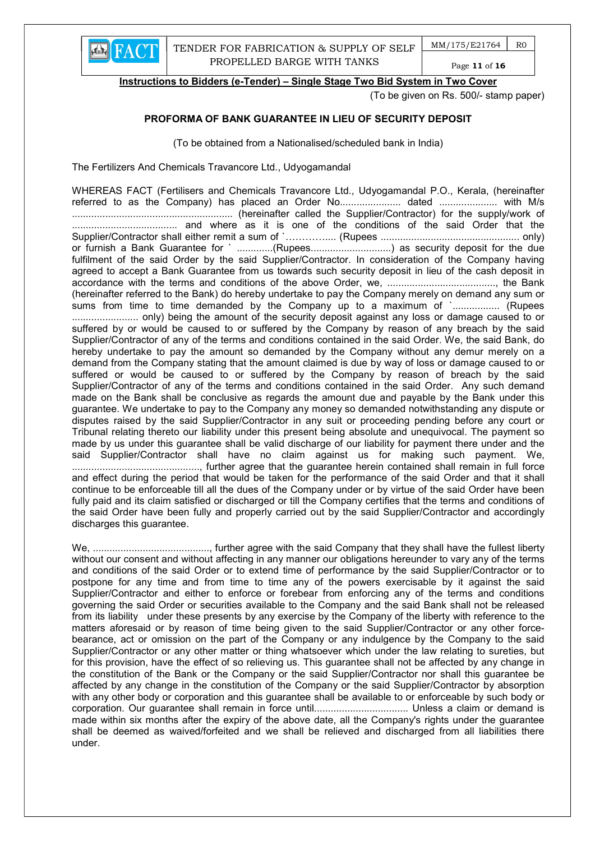

(To be given on Rs. 500/- stamp paper)

### PROFORMA OF BANK GUARANTEE IN LIEU OF SECURITY DEPOSIT

(To be obtained from a Nationalised/scheduled bank in India)

The Fertilizers And Chemicals Travancore Ltd., Udyogamandal

WHEREAS FACT (Fertilisers and Chemicals Travancore Ltd., Udyogamandal P.O., Kerala, (hereinafter referred to as the Company) has placed an Order No......................... dated ........................... with M/s .......................................................... (hereinafter called the Supplier/Contractor) for the supply/work of ...................................... and where as it is one of the conditions of the said Order that the Supplier/Contractor shall either remit a sum of `………….... (Rupees .................................................. only) or furnish a Bank Guarantee for ` ..............(Rupees................................) as security deposit for the due fulfilment of the said Order by the said Supplier/Contractor. In consideration of the Company having agreed to accept a Bank Guarantee from us towards such security deposit in lieu of the cash deposit in accordance with the terms and conditions of the above Order, we, ......................................., the Bank (hereinafter referred to the Bank) do hereby undertake to pay the Company merely on demand any sum or sums from time to time demanded by the Company up to a maximum of `................. (Rupees ........................ only) being the amount of the security deposit against any loss or damage caused to or suffered by or would be caused to or suffered by the Company by reason of any breach by the said Supplier/Contractor of any of the terms and conditions contained in the said Order. We, the said Bank, do hereby undertake to pay the amount so demanded by the Company without any demur merely on a demand from the Company stating that the amount claimed is due by way of loss or damage caused to or suffered or would be caused to or suffered by the Company by reason of breach by the said Supplier/Contractor of any of the terms and conditions contained in the said Order. Any such demand made on the Bank shall be conclusive as regards the amount due and payable by the Bank under this guarantee. We undertake to pay to the Company any money so demanded notwithstanding any dispute or disputes raised by the said Supplier/Contractor in any suit or proceeding pending before any court or Tribunal relating thereto our liability under this present being absolute and unequivocal. The payment so made by us under this guarantee shall be valid discharge of our liability for payment there under and the said Supplier/Contractor shall have no claim against us for making such payment. We, .............................................., further agree that the guarantee herein contained shall remain in full force and effect during the period that would be taken for the performance of the said Order and that it shall continue to be enforceable till all the dues of the Company under or by virtue of the said Order have been fully paid and its claim satisfied or discharged or till the Company certifies that the terms and conditions of the said Order have been fully and properly carried out by the said Supplier/Contractor and accordingly discharges this guarantee.

We, .........................................., further agree with the said Company that they shall have the fullest liberty without our consent and without affecting in any manner our obligations hereunder to vary any of the terms and conditions of the said Order or to extend time of performance by the said Supplier/Contractor or to postpone for any time and from time to time any of the powers exercisable by it against the said Supplier/Contractor and either to enforce or forebear from enforcing any of the terms and conditions governing the said Order or securities available to the Company and the said Bank shall not be released from its liability under these presents by any exercise by the Company of the liberty with reference to the matters aforesaid or by reason of time being given to the said Supplier/Contractor or any other forcebearance, act or omission on the part of the Company or any indulgence by the Company to the said Supplier/Contractor or any other matter or thing whatsoever which under the law relating to sureties, but for this provision, have the effect of so relieving us. This guarantee shall not be affected by any change in the constitution of the Bank or the Company or the said Supplier/Contractor nor shall this guarantee be affected by any change in the constitution of the Company or the said Supplier/Contractor by absorption with any other body or corporation and this guarantee shall be available to or enforceable by such body or corporation. Our guarantee shall remain in force until.................................. Unless a claim or demand is made within six months after the expiry of the above date, all the Company's rights under the guarantee shall be deemed as waived/forfeited and we shall be relieved and discharged from all liabilities there under.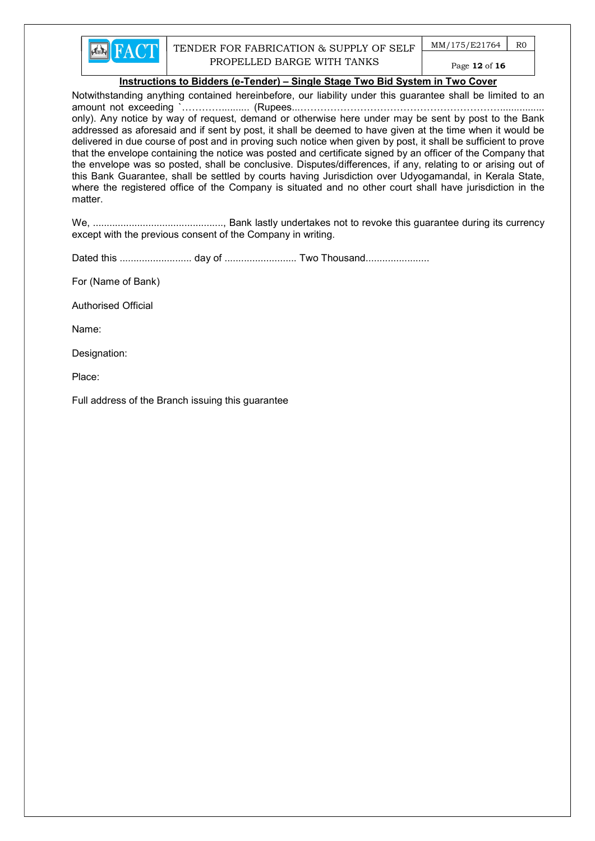

 $MM/175/E21764$  R0 Page 12 of 16

#### Instructions to Bidders (e-Tender) – Single Stage Two Bid System in Two Cover

Notwithstanding anything contained hereinbefore, our liability under this guarantee shall be limited to an amount not exceeding `………….......... (Rupees...……………………………………………………................ only). Any notice by way of request, demand or otherwise here under may be sent by post to the Bank addressed as aforesaid and if sent by post, it shall be deemed to have given at the time when it would be delivered in due course of post and in proving such notice when given by post, it shall be sufficient to prove that the envelope containing the notice was posted and certificate signed by an officer of the Company that the envelope was so posted, shall be conclusive. Disputes/differences, if any, relating to or arising out of this Bank Guarantee, shall be settled by courts having Jurisdiction over Udyogamandal, in Kerala State, where the registered office of the Company is situated and no other court shall have jurisdiction in the matter.

We, ..............................................., Bank lastly undertakes not to revoke this guarantee during its currency except with the previous consent of the Company in writing.

Dated this .......................... day of .......................... Two Thousand.......................

For (Name of Bank)

Authorised Official

Name:

Designation:

Place:

Full address of the Branch issuing this guarantee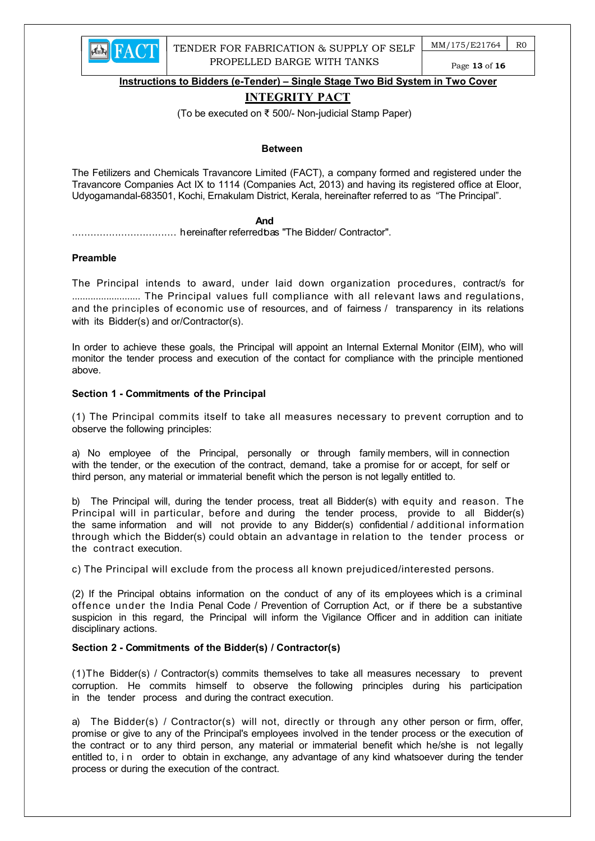

Page 13 of 16

Instructions to Bidders (e-Tender) – Single Stage Two Bid System in Two Cover

## INTEGRITY PACT

(To be executed on ₹ 500/- Non-judicial Stamp Paper)

#### Between

The Fetilizers and Chemicals Travancore Limited (FACT), a company formed and registered under the Travancore Companies Act IX to 1114 (Companies Act, 2013) and having its registered office at Eloor, Udyogamandal-683501, Kochi, Ernakulam District, Kerala, hereinafter referred to as "The Principal".

#### **And And And And** *And And*

.................................. hereinafter referred to as "The Bidder/ Contractor".

#### Preamble

The Principal intends to award, under laid down organization procedures, contract/s for .......................... The Principal values full compliance with all relevant laws and regulations, and the principles of economic use of resources, and of fairness / transparency in its relations with its Bidder(s) and or/Contractor(s).

In order to achieve these goals, the Principal will appoint an Internal External Monitor (EIM), who will monitor the tender process and execution of the contact for compliance with the principle mentioned above.

#### Section 1 - Commitments of the Principal

(1) The Principal commits itself to take all measures necessary to prevent corruption and to observe the following principles:

a) No employee of the Principal, personally or through family members, will in connection with the tender, or the execution of the contract, demand, take a promise for or accept, for self or third person, any material or immaterial benefit which the person is not legally entitled to.

b) The Principal will, during the tender process, treat all Bidder(s) with equity and reason. The Principal will in particular, before and during the tender process, provide to all Bidder(s) the same information and will not provide to any Bidder(s) confidential / additional information through which the Bidder(s) could obtain an advantage in relation to the tender process or the contract execution.

c) The Principal will exclude from the process all known prejudiced/interested persons.

(2) If the Principal obtains information on the conduct of any of its employees which is a criminal offence under the India Penal Code / Prevention of Corruption Act, or if there be a substantive suspicion in this regard, the Principal will inform the Vigilance Officer and in addition can initiate disciplinary actions.

#### Section 2 - Commitments of the Bidder(s) / Contractor(s)

(1)The Bidder(s) / Contractor(s) commits themselves to take all measures necessary to prevent corruption. He commits himself to observe the following principles during his participation in the tender process and during the contract execution.

a) The Bidder(s) / Contractor(s) will not, directly or through any other person or firm, offer, promise or give to any of the Principal's employees involved in the tender process or the execution of the contract or to any third person, any material or immaterial benefit which he/she is not legally entitled to, i n order to obtain in exchange, any advantage of any kind whatsoever during the tender process or during the execution of the contract.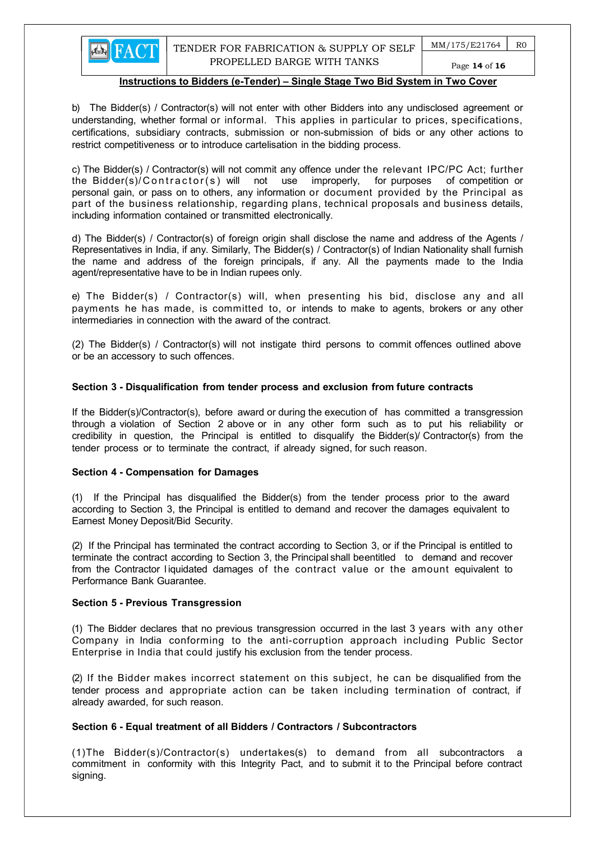b) The Bidder(s) / Contractor(s) will not enter with other Bidders into any undisclosed agreement or understanding, whether formal or informal. This applies in particular to prices, specifications, certifications, subsidiary contracts, submission or non-submission of bids or any other actions to restrict competitiveness or to introduce cartelisation in the bidding process.

c) The Bidder(s) / Contractor(s) will not commit any offence under the relevant IPC/PC Act; further the Bidder(s)/Contractor(s) will not use improperly, for purposes of competition or personal gain, or pass on to others, any information or document provided by the Principal as part of the business relationship, regarding plans, technical proposals and business details, including information contained or transmitted electronically.

d) The Bidder(s) / Contractor(s) of foreign origin shall disclose the name and address of the Agents / Representatives in India, if any. Similarly, The Bidder(s) / Contractor(s) of Indian Nationality shall furnish the name and address of the foreign principals, if any. All the payments made to the India agent/representative have to be in Indian rupees only.

e) The Bidder(s) / Contractor(s) will, when presenting his bid, disclose any and all payments he has made, is committed to, or intends to make to agents, brokers or any other intermediaries in connection with the award of the contract.

(2) The Bidder(s) / Contractor(s) will not instigate third persons to commit offences outlined above or be an accessory to such offences.

#### Section 3 - Disqualification from tender process and exclusion from future contracts

If the Bidder(s)/Contractor(s), before award or during the execution of has committed a transgression through a violation of Section 2 above or in any other form such as to put his reliability or credibility in question, the Principal is entitled to disqualify the Bidder(s)/ Contractor(s) from the tender process or to terminate the contract, if already signed, for such reason.

#### Section 4 - Compensation for Damages

**EN FACT** 

(1) If the Principal has disqualified the Bidder(s) from the tender process prior to the award according to Section 3, the Principal is entitled to demand and recover the damages equivalent to Earnest Money Deposit/Bid Security.

(2) If the Principal has terminated the contract according to Section 3, or if the Principal is entitled to terminate the contract according to Section 3, the Principal shall be entitled to demand and recover from the Contractor l iquidated damages of the contract value or the amount equivalent to Performance Bank Guarantee.

#### Section 5 - Previous Transgression

(1) The Bidder declares that no previous transgression occurred in the last 3 years with any other Company in India conforming to the anti-corruption approach including Public Sector Enterprise in India that could justify his exclusion from the tender process.

(2) If the Bidder makes incorrect statement on this subject, he can be disqualified from the tender process and appropriate action can be taken including termination of contract, if already awarded, for such reason.

## Section 6 - Equal treatment of all Bidders / Contractors / Subcontractors

(1)The Bidder(s)/Contractor(s) undertakes(s) to demand from all subcontractors a commitment in conformity with this Integrity Pact, and to submit it to the Principal before contract signing.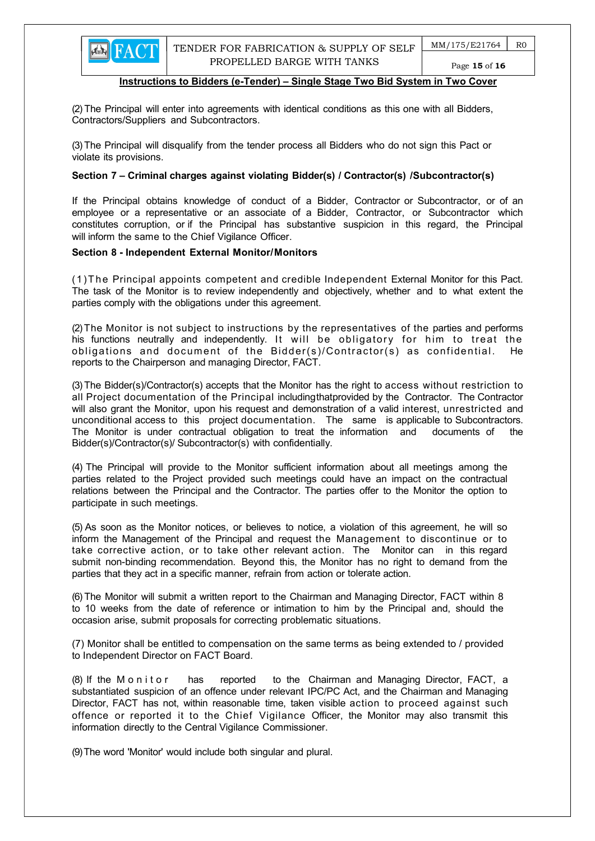Page 15 of 16

#### Instructions to Bidders (e-Tender) – Single Stage Two Bid System in Two Cover

(2) The Principal will enter into agreements with identical conditions as this one with all Bidders, Contractors/Suppliers and Subcontractors.

(3) The Principal will disqualify from the tender process all Bidders who do not sign this Pact or violate its provisions.

#### Section 7 – Criminal charges against violating Bidder(s) / Contractor(s) / Subcontractor(s)

If the Principal obtains knowledge of conduct of a Bidder, Contractor or Subcontractor, or of an employee or a representative or an associate of a Bidder, Contractor, or Subcontractor which constitutes corruption, or if the Principal has substantive suspicion in this regard, the Principal will inform the same to the Chief Vigilance Officer.

#### Section 8 - Independent External Monitor/Monitors

(1)T he Principal appoints competent and credible Independent External Monitor for this Pact. The task of the Monitor is to review independently and objectively, whether and to what extent the parties comply with the obligations under this agreement.

(2) The Monitor is not subject to instructions by the representatives of the parties and performs his functions neutrally and independently. It will be obligatory for him to treat the obligations and document of the Bidder(s)/Contractor(s) as confidential. He reports to the Chairperson and managing Director, FACT.

(3) The Bidder(s)/Contractor(s) accepts that the Monitor has the right to access without restriction to all Project documentation of the Principal including that provided by the Contractor. The Contractor will also grant the Monitor, upon his request and demonstration of a valid interest, unrestricted and unconditional access to this project documentation. The same is applicable to Subcontractors. The Monitor is under contractual obligation to treat the information and documents of the Bidder(s)/Contractor(s)/ Subcontractor(s) with confidentially.

(4) The Principal will provide to the Monitor sufficient information about all meetings among the parties related to the Project provided such meetings could have an impact on the contractual relations between the Principal and the Contractor. The parties offer to the Monitor the option to participate in such meetings.

(5) As soon as the Monitor notices, or believes to notice, a violation of this agreement, he will so inform the Management of the Principal and request the Management to discontinue or to take corrective action, or to take other relevant action. The Monitor can in this regard submit non-binding recommendation. Beyond this, the Monitor has no right to demand from the parties that they act in a specific manner, refrain from action or tolerate action.

(6) The Monitor will submit a written report to the Chairman and Managing Director, FACT within 8 to 10 weeks from the date of reference or intimation to him by the Principal and, should the occasion arise, submit proposals for correcting problematic situations.

 (7) Monitor shall be entitled to compensation on the same terms as being extended to / provided to Independent Director on FACT Board.

(8) If the M on it or has reported to the Chairman and Managing Director, FACT, a substantiated suspicion of an offence under relevant IPC/PC Act, and the Chairman and Managing Director, FACT has not, within reasonable time, taken visible action to proceed against such offence or reported it to the Chief Vigilance Officer, the Monitor may also transmit this information directly to the Central Vigilance Commissioner.

(9) The word 'Monitor' would include both singular and plural.